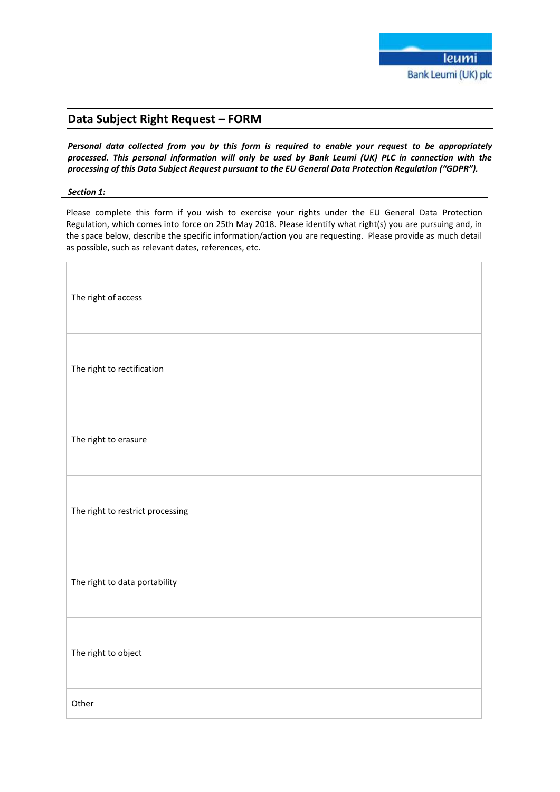# **Data Subject Right Request – FORM**

*Personal data collected from you by this form is required to enable your request to be appropriately processed. This personal information will only be used by Bank Leumi (UK) PLC in connection with the processing of this Data Subject Request pursuant to the EU General Data Protection Regulation ("GDPR").*

### *Section 1:*

Please complete this form if you wish to exercise your rights under the EU General Data Protection Regulation, which comes into force on 25th May 2018. Please identify what right(s) you are pursuing and, in the space below, describe the specific information/action you are requesting. Please provide as much detail as possible, such as relevant dates, references, etc.

| The right of access              |  |
|----------------------------------|--|
| The right to rectification       |  |
| The right to erasure             |  |
| The right to restrict processing |  |
| The right to data portability    |  |
| The right to object              |  |
| Other                            |  |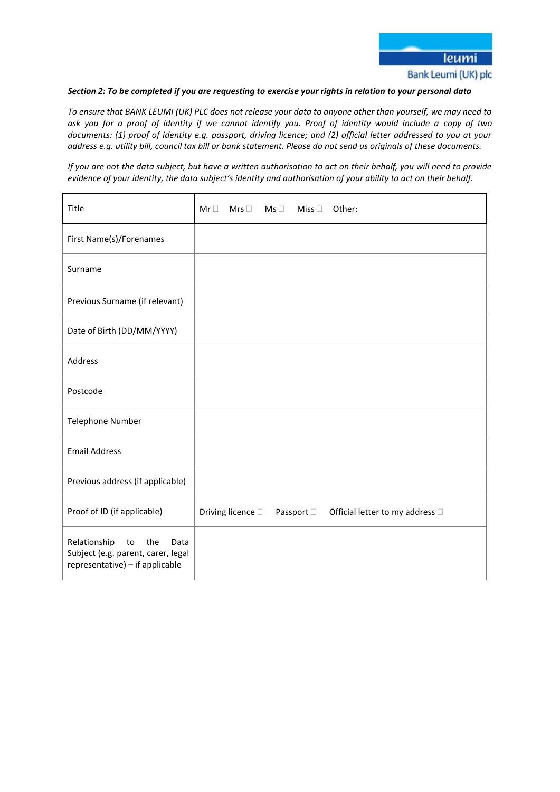### *Section 2: To be completed if you are requesting to exercise your rights in relation to your personal data*

*To ensure that BANK LEUMI (UK) PLC does not release your data to anyone other than yourself, we may need to ask you for a proof of identity if we cannot identify you. Proof of identity would include a copy of two documents: (1) proof of identity e.g. passport, driving licence; and (2) official letter addressed to you at your address e.g. utility bill, council tax bill or bank statement. Please do not send us originals of these documents.*

*If you are not the data subject, but have a written authorisation to act on their behalf, you will need to provide evidence of your identity, the data subject's identity and authorisation of your ability to act on their behalf.*

| Title                                                                                                      | $Mr \Box$ | Mrs $\square$     | $\mathsf{Ms} \ \Box$ | Miss $\Box$ | Other:                          |
|------------------------------------------------------------------------------------------------------------|-----------|-------------------|----------------------|-------------|---------------------------------|
| First Name(s)/Forenames                                                                                    |           |                   |                      |             |                                 |
| Surname                                                                                                    |           |                   |                      |             |                                 |
| Previous Surname (if relevant)                                                                             |           |                   |                      |             |                                 |
| Date of Birth (DD/MM/YYYY)                                                                                 |           |                   |                      |             |                                 |
| Address                                                                                                    |           |                   |                      |             |                                 |
| Postcode                                                                                                   |           |                   |                      |             |                                 |
| Telephone Number                                                                                           |           |                   |                      |             |                                 |
| <b>Email Address</b>                                                                                       |           |                   |                      |             |                                 |
| Previous address (if applicable)                                                                           |           |                   |                      |             |                                 |
| Proof of ID (if applicable)                                                                                |           | Driving licence D |                      | Passport □  | Official letter to my address □ |
| Relationship<br>the<br>to<br>Data<br>Subject (e.g. parent, carer, legal<br>representative) - if applicable |           |                   |                      |             |                                 |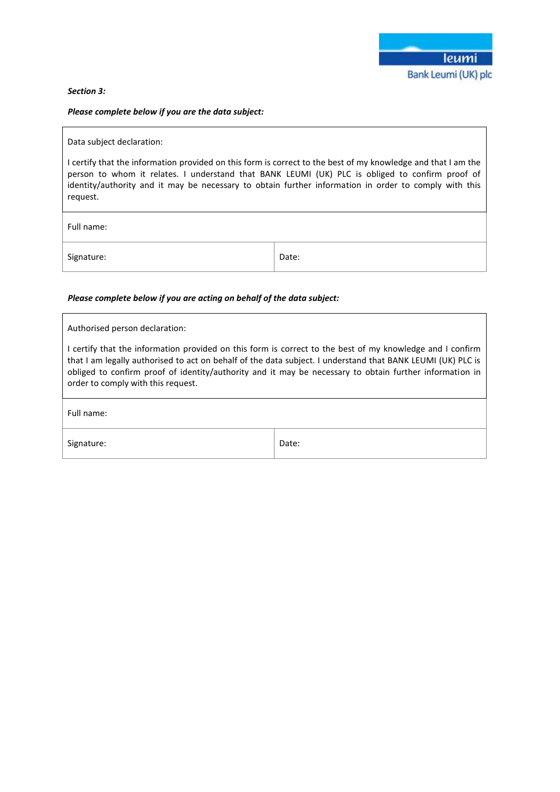### *Section 3:*

# *Please complete below if you are the data subject:*

| Data subject declaration:                                                                                                                                                                                                                                                                                                             |       |  |  |  |  |
|---------------------------------------------------------------------------------------------------------------------------------------------------------------------------------------------------------------------------------------------------------------------------------------------------------------------------------------|-------|--|--|--|--|
| I certify that the information provided on this form is correct to the best of my knowledge and that I am the<br>person to whom it relates. I understand that BANK LEUMI (UK) PLC is obliged to confirm proof of<br>identity/authority and it may be necessary to obtain further information in order to comply with this<br>request. |       |  |  |  |  |
| Full name:                                                                                                                                                                                                                                                                                                                            |       |  |  |  |  |
| Signature:                                                                                                                                                                                                                                                                                                                            | Date: |  |  |  |  |

# *Please complete below if you are acting on behalf of the data subject:*

| Authorised person declaration:                                                                                                                                                                                                                                                                                                                                            |       |  |  |  |  |
|---------------------------------------------------------------------------------------------------------------------------------------------------------------------------------------------------------------------------------------------------------------------------------------------------------------------------------------------------------------------------|-------|--|--|--|--|
| I certify that the information provided on this form is correct to the best of my knowledge and I confirm<br>that I am legally authorised to act on behalf of the data subject. I understand that BANK LEUMI (UK) PLC is<br>obliged to confirm proof of identity/authority and it may be necessary to obtain further information in<br>order to comply with this request. |       |  |  |  |  |
| Full name:                                                                                                                                                                                                                                                                                                                                                                |       |  |  |  |  |
| Signature:                                                                                                                                                                                                                                                                                                                                                                | Date: |  |  |  |  |